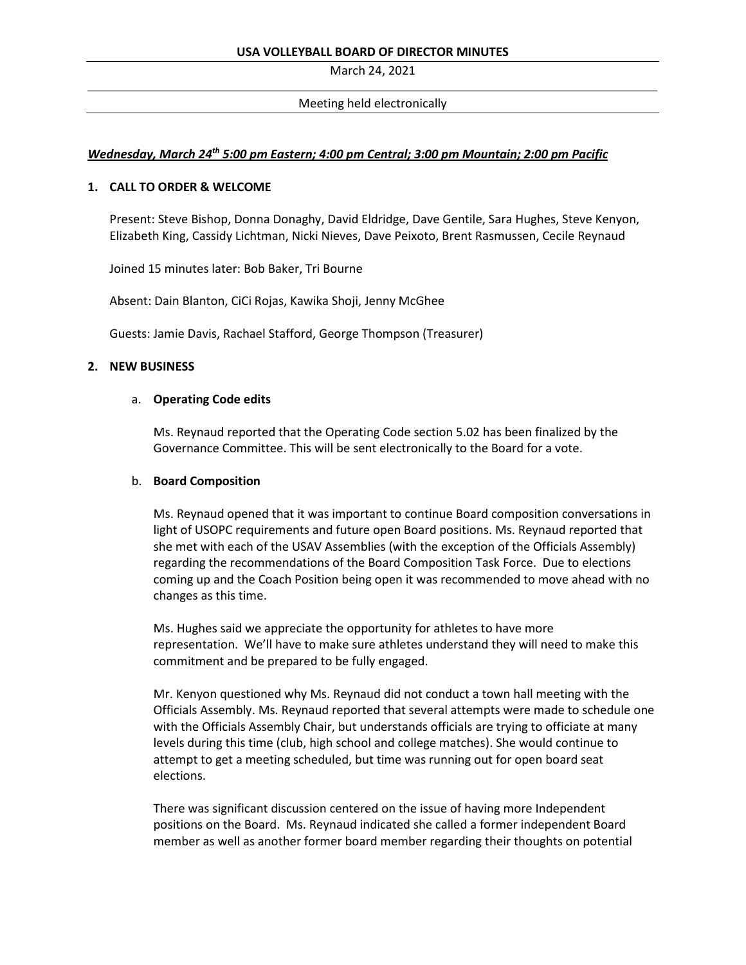March 24, 2021

# Meeting held electronically

# *Wednesday, March 24th 5:00 pm Eastern; 4:00 pm Central; 3:00 pm Mountain; 2:00 pm Pacific*

## **1. CALL TO ORDER & WELCOME**

Present: Steve Bishop, Donna Donaghy, David Eldridge, Dave Gentile, Sara Hughes, Steve Kenyon, Elizabeth King, Cassidy Lichtman, Nicki Nieves, Dave Peixoto, Brent Rasmussen, Cecile Reynaud

Joined 15 minutes later: Bob Baker, Tri Bourne

Absent: Dain Blanton, CiCi Rojas, Kawika Shoji, Jenny McGhee

Guests: Jamie Davis, Rachael Stafford, George Thompson (Treasurer)

## **2. NEW BUSINESS**

# a. **Operating Code edits**

Ms. Reynaud reported that the Operating Code section 5.02 has been finalized by the Governance Committee. This will be sent electronically to the Board for a vote.

# b. **Board Composition**

Ms. Reynaud opened that it was important to continue Board composition conversations in light of USOPC requirements and future open Board positions. Ms. Reynaud reported that she met with each of the USAV Assemblies (with the exception of the Officials Assembly) regarding the recommendations of the Board Composition Task Force. Due to elections coming up and the Coach Position being open it was recommended to move ahead with no changes as this time.

Ms. Hughes said we appreciate the opportunity for athletes to have more representation. We'll have to make sure athletes understand they will need to make this commitment and be prepared to be fully engaged.

Mr. Kenyon questioned why Ms. Reynaud did not conduct a town hall meeting with the Officials Assembly. Ms. Reynaud reported that several attempts were made to schedule one with the Officials Assembly Chair, but understands officials are trying to officiate at many levels during this time (club, high school and college matches). She would continue to attempt to get a meeting scheduled, but time was running out for open board seat elections.

There was significant discussion centered on the issue of having more Independent positions on the Board. Ms. Reynaud indicated she called a former independent Board member as well as another former board member regarding their thoughts on potential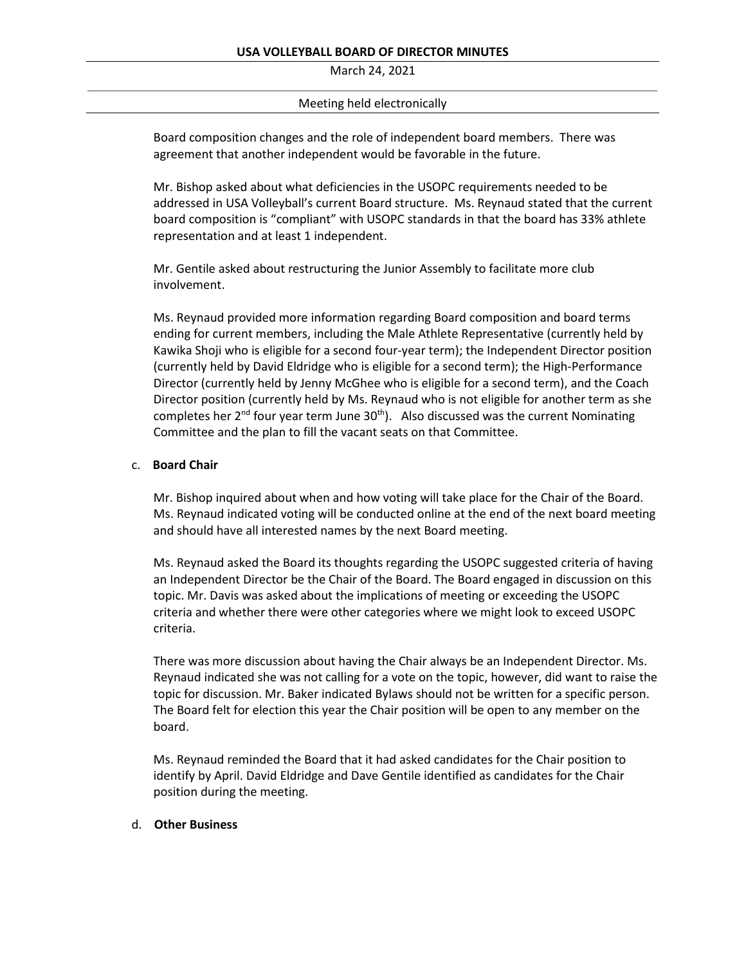March 24, 2021

# Meeting held electronically

Board composition changes and the role of independent board members. There was agreement that another independent would be favorable in the future.

Mr. Bishop asked about what deficiencies in the USOPC requirements needed to be addressed in USA Volleyball's current Board structure. Ms. Reynaud stated that the current board composition is "compliant" with USOPC standards in that the board has 33% athlete representation and at least 1 independent.

Mr. Gentile asked about restructuring the Junior Assembly to facilitate more club involvement.

Ms. Reynaud provided more information regarding Board composition and board terms ending for current members, including the Male Athlete Representative (currently held by Kawika Shoji who is eligible for a second four-year term); the Independent Director position (currently held by David Eldridge who is eligible for a second term); the High-Performance Director (currently held by Jenny McGhee who is eligible for a second term), and the Coach Director position (currently held by Ms. Reynaud who is not eligible for another term as she completes her  $2^{nd}$  four year term June  $30^{th}$ ). Also discussed was the current Nominating Committee and the plan to fill the vacant seats on that Committee.

## c. **Board Chair**

Mr. Bishop inquired about when and how voting will take place for the Chair of the Board. Ms. Reynaud indicated voting will be conducted online at the end of the next board meeting and should have all interested names by the next Board meeting.

Ms. Reynaud asked the Board its thoughts regarding the USOPC suggested criteria of having an Independent Director be the Chair of the Board. The Board engaged in discussion on this topic. Mr. Davis was asked about the implications of meeting or exceeding the USOPC criteria and whether there were other categories where we might look to exceed USOPC criteria.

There was more discussion about having the Chair always be an Independent Director. Ms. Reynaud indicated she was not calling for a vote on the topic, however, did want to raise the topic for discussion. Mr. Baker indicated Bylaws should not be written for a specific person. The Board felt for election this year the Chair position will be open to any member on the board.

Ms. Reynaud reminded the Board that it had asked candidates for the Chair position to identify by April. David Eldridge and Dave Gentile identified as candidates for the Chair position during the meeting.

# d. **Other Business**